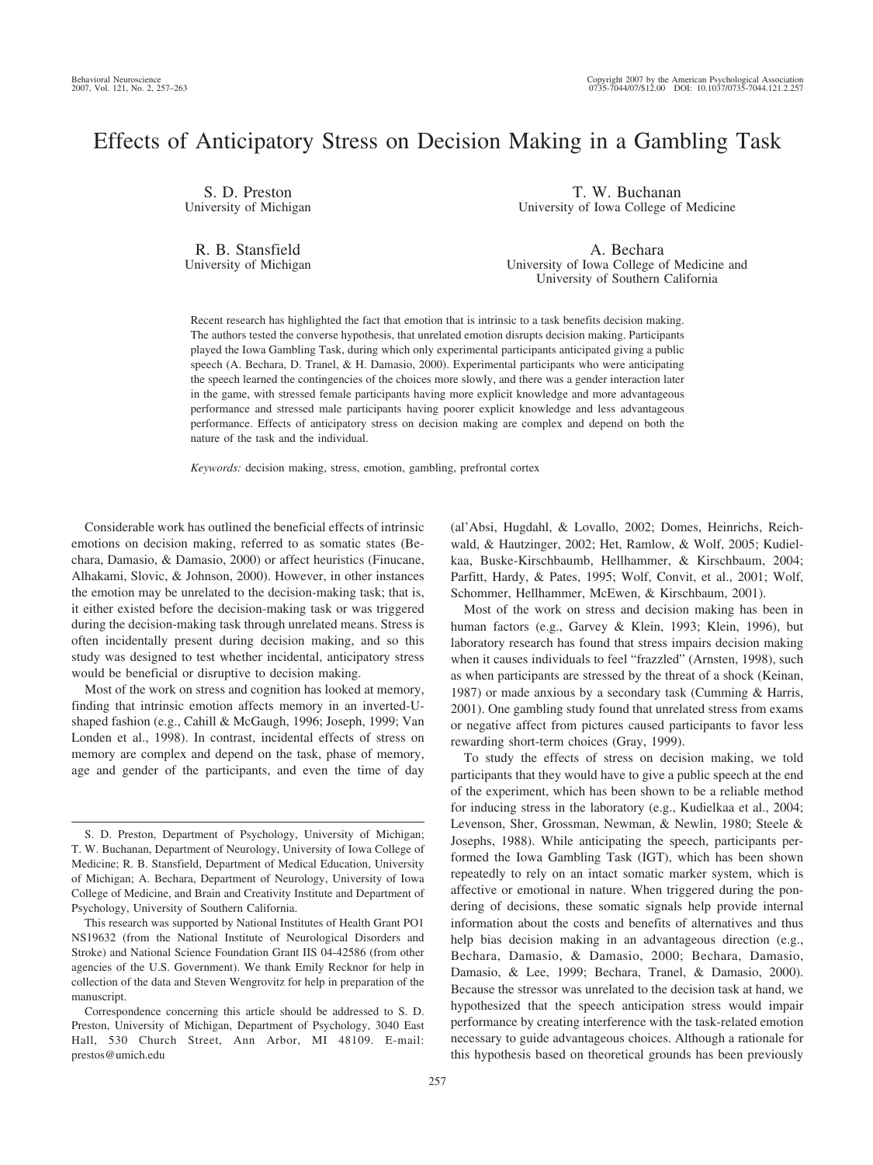# Effects of Anticipatory Stress on Decision Making in a Gambling Task

S. D. Preston University of Michigan

R. B. Stansfield University of Michigan

T. W. Buchanan University of Iowa College of Medicine

A. Bechara University of Iowa College of Medicine and University of Southern California

Recent research has highlighted the fact that emotion that is intrinsic to a task benefits decision making. The authors tested the converse hypothesis, that unrelated emotion disrupts decision making. Participants played the Iowa Gambling Task, during which only experimental participants anticipated giving a public speech (A. Bechara, D. Tranel, & H. Damasio, 2000). Experimental participants who were anticipating the speech learned the contingencies of the choices more slowly, and there was a gender interaction later in the game, with stressed female participants having more explicit knowledge and more advantageous performance and stressed male participants having poorer explicit knowledge and less advantageous performance. Effects of anticipatory stress on decision making are complex and depend on both the nature of the task and the individual.

*Keywords:* decision making, stress, emotion, gambling, prefrontal cortex

Considerable work has outlined the beneficial effects of intrinsic emotions on decision making, referred to as somatic states (Bechara, Damasio, & Damasio, 2000) or affect heuristics (Finucane, Alhakami, Slovic, & Johnson, 2000). However, in other instances the emotion may be unrelated to the decision-making task; that is, it either existed before the decision-making task or was triggered during the decision-making task through unrelated means. Stress is often incidentally present during decision making, and so this study was designed to test whether incidental, anticipatory stress would be beneficial or disruptive to decision making.

Most of the work on stress and cognition has looked at memory, finding that intrinsic emotion affects memory in an inverted-Ushaped fashion (e.g., Cahill & McGaugh, 1996; Joseph, 1999; Van Londen et al., 1998). In contrast, incidental effects of stress on memory are complex and depend on the task, phase of memory, age and gender of the participants, and even the time of day

(al'Absi, Hugdahl, & Lovallo, 2002; Domes, Heinrichs, Reichwald, & Hautzinger, 2002; Het, Ramlow, & Wolf, 2005; Kudielkaa, Buske-Kirschbaumb, Hellhammer, & Kirschbaum, 2004; Parfitt, Hardy, & Pates, 1995; Wolf, Convit, et al., 2001; Wolf, Schommer, Hellhammer, McEwen, & Kirschbaum, 2001).

Most of the work on stress and decision making has been in human factors (e.g., Garvey & Klein, 1993; Klein, 1996), but laboratory research has found that stress impairs decision making when it causes individuals to feel "frazzled" (Arnsten, 1998), such as when participants are stressed by the threat of a shock (Keinan, 1987) or made anxious by a secondary task (Cumming & Harris, 2001). One gambling study found that unrelated stress from exams or negative affect from pictures caused participants to favor less rewarding short-term choices (Gray, 1999).

To study the effects of stress on decision making, we told participants that they would have to give a public speech at the end of the experiment, which has been shown to be a reliable method for inducing stress in the laboratory (e.g., Kudielkaa et al., 2004; Levenson, Sher, Grossman, Newman, & Newlin, 1980; Steele & Josephs, 1988). While anticipating the speech, participants performed the Iowa Gambling Task (IGT), which has been shown repeatedly to rely on an intact somatic marker system, which is affective or emotional in nature. When triggered during the pondering of decisions, these somatic signals help provide internal information about the costs and benefits of alternatives and thus help bias decision making in an advantageous direction (e.g., Bechara, Damasio, & Damasio, 2000; Bechara, Damasio, Damasio, & Lee, 1999; Bechara, Tranel, & Damasio, 2000). Because the stressor was unrelated to the decision task at hand, we hypothesized that the speech anticipation stress would impair performance by creating interference with the task-related emotion necessary to guide advantageous choices. Although a rationale for this hypothesis based on theoretical grounds has been previously

S. D. Preston, Department of Psychology, University of Michigan; T. W. Buchanan, Department of Neurology, University of Iowa College of Medicine; R. B. Stansfield, Department of Medical Education, University of Michigan; A. Bechara, Department of Neurology, University of Iowa College of Medicine, and Brain and Creativity Institute and Department of Psychology, University of Southern California.

This research was supported by National Institutes of Health Grant PO1 NS19632 (from the National Institute of Neurological Disorders and Stroke) and National Science Foundation Grant IIS 04-42586 (from other agencies of the U.S. Government). We thank Emily Recknor for help in collection of the data and Steven Wengrovitz for help in preparation of the manuscript.

Correspondence concerning this article should be addressed to S. D. Preston, University of Michigan, Department of Psychology, 3040 East Hall, 530 Church Street, Ann Arbor, MI 48109. E-mail: prestos@umich.edu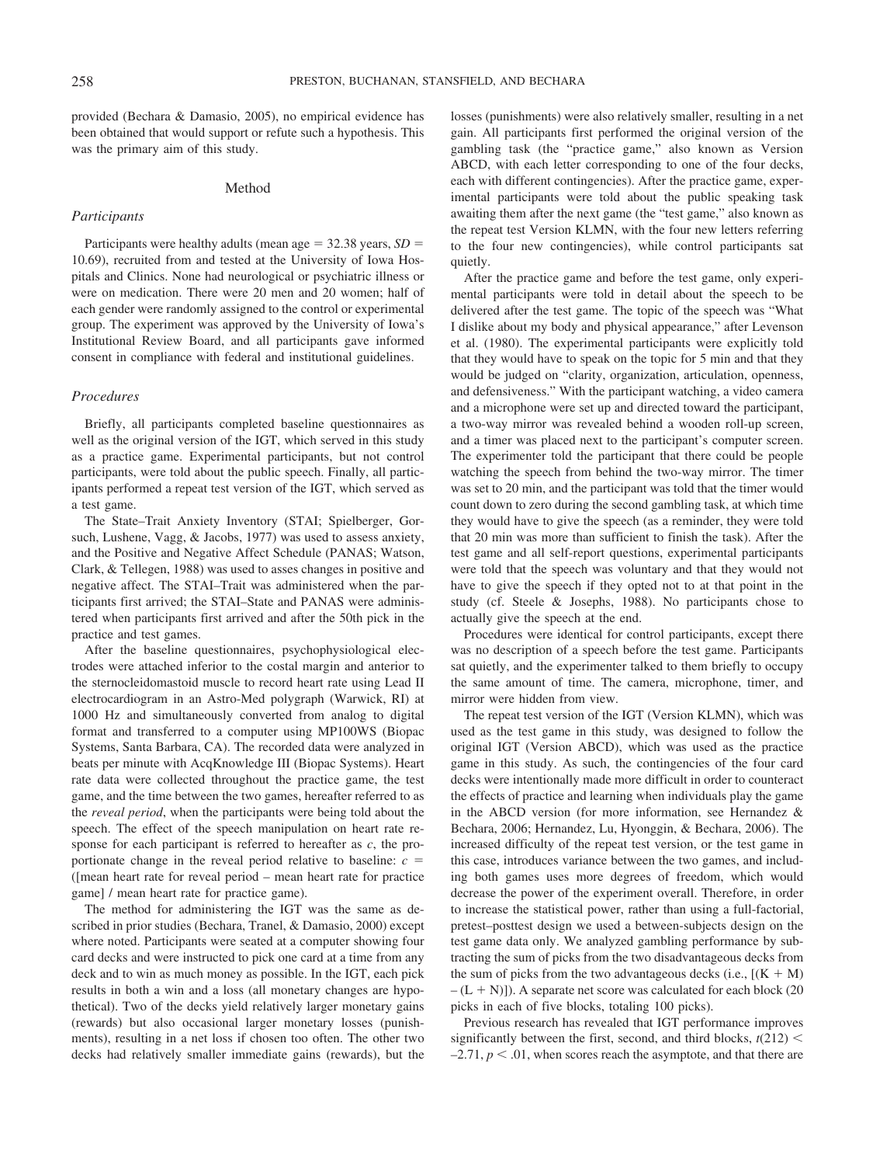provided (Bechara & Damasio, 2005), no empirical evidence has been obtained that would support or refute such a hypothesis. This was the primary aim of this study.

## Method

# *Participants*

Participants were healthy adults (mean age  $= 32.38$  years,  $SD =$ 10.69), recruited from and tested at the University of Iowa Hospitals and Clinics. None had neurological or psychiatric illness or were on medication. There were 20 men and 20 women; half of each gender were randomly assigned to the control or experimental group. The experiment was approved by the University of Iowa's Institutional Review Board, and all participants gave informed consent in compliance with federal and institutional guidelines.

# *Procedures*

Briefly, all participants completed baseline questionnaires as well as the original version of the IGT, which served in this study as a practice game. Experimental participants, but not control participants, were told about the public speech. Finally, all participants performed a repeat test version of the IGT, which served as a test game.

The State–Trait Anxiety Inventory (STAI; Spielberger, Gorsuch, Lushene, Vagg, & Jacobs, 1977) was used to assess anxiety, and the Positive and Negative Affect Schedule (PANAS; Watson, Clark, & Tellegen, 1988) was used to asses changes in positive and negative affect. The STAI–Trait was administered when the participants first arrived; the STAI–State and PANAS were administered when participants first arrived and after the 50th pick in the practice and test games.

After the baseline questionnaires, psychophysiological electrodes were attached inferior to the costal margin and anterior to the sternocleidomastoid muscle to record heart rate using Lead II electrocardiogram in an Astro-Med polygraph (Warwick, RI) at 1000 Hz and simultaneously converted from analog to digital format and transferred to a computer using MP100WS (Biopac Systems, Santa Barbara, CA). The recorded data were analyzed in beats per minute with AcqKnowledge III (Biopac Systems). Heart rate data were collected throughout the practice game, the test game, and the time between the two games, hereafter referred to as the *reveal period*, when the participants were being told about the speech. The effect of the speech manipulation on heart rate response for each participant is referred to hereafter as *c*, the proportionate change in the reveal period relative to baseline:  $c =$ ([mean heart rate for reveal period – mean heart rate for practice game] / mean heart rate for practice game).

The method for administering the IGT was the same as described in prior studies (Bechara, Tranel, & Damasio, 2000) except where noted. Participants were seated at a computer showing four card decks and were instructed to pick one card at a time from any deck and to win as much money as possible. In the IGT, each pick results in both a win and a loss (all monetary changes are hypothetical). Two of the decks yield relatively larger monetary gains (rewards) but also occasional larger monetary losses (punishments), resulting in a net loss if chosen too often. The other two decks had relatively smaller immediate gains (rewards), but the losses (punishments) were also relatively smaller, resulting in a net gain. All participants first performed the original version of the gambling task (the "practice game," also known as Version ABCD, with each letter corresponding to one of the four decks, each with different contingencies). After the practice game, experimental participants were told about the public speaking task awaiting them after the next game (the "test game," also known as the repeat test Version KLMN, with the four new letters referring to the four new contingencies), while control participants sat quietly.

After the practice game and before the test game, only experimental participants were told in detail about the speech to be delivered after the test game. The topic of the speech was "What I dislike about my body and physical appearance," after Levenson et al. (1980). The experimental participants were explicitly told that they would have to speak on the topic for 5 min and that they would be judged on "clarity, organization, articulation, openness, and defensiveness." With the participant watching, a video camera and a microphone were set up and directed toward the participant, a two-way mirror was revealed behind a wooden roll-up screen, and a timer was placed next to the participant's computer screen. The experimenter told the participant that there could be people watching the speech from behind the two-way mirror. The timer was set to 20 min, and the participant was told that the timer would count down to zero during the second gambling task, at which time they would have to give the speech (as a reminder, they were told that 20 min was more than sufficient to finish the task). After the test game and all self-report questions, experimental participants were told that the speech was voluntary and that they would not have to give the speech if they opted not to at that point in the study (cf. Steele & Josephs, 1988). No participants chose to actually give the speech at the end.

Procedures were identical for control participants, except there was no description of a speech before the test game. Participants sat quietly, and the experimenter talked to them briefly to occupy the same amount of time. The camera, microphone, timer, and mirror were hidden from view.

The repeat test version of the IGT (Version KLMN), which was used as the test game in this study, was designed to follow the original IGT (Version ABCD), which was used as the practice game in this study. As such, the contingencies of the four card decks were intentionally made more difficult in order to counteract the effects of practice and learning when individuals play the game in the ABCD version (for more information, see Hernandez & Bechara, 2006; Hernandez, Lu, Hyonggin, & Bechara, 2006). The increased difficulty of the repeat test version, or the test game in this case, introduces variance between the two games, and including both games uses more degrees of freedom, which would decrease the power of the experiment overall. Therefore, in order to increase the statistical power, rather than using a full-factorial, pretest–posttest design we used a between-subjects design on the test game data only. We analyzed gambling performance by subtracting the sum of picks from the two disadvantageous decks from the sum of picks from the two advantageous decks (i.e.,  $[(K + M)]$  $-(L + N)$ ]). A separate net score was calculated for each block (20 picks in each of five blocks, totaling 100 picks).

Previous research has revealed that IGT performance improves significantly between the first, second, and third blocks,  $t(212)$  <  $-2.71, p \leq .01$ , when scores reach the asymptote, and that there are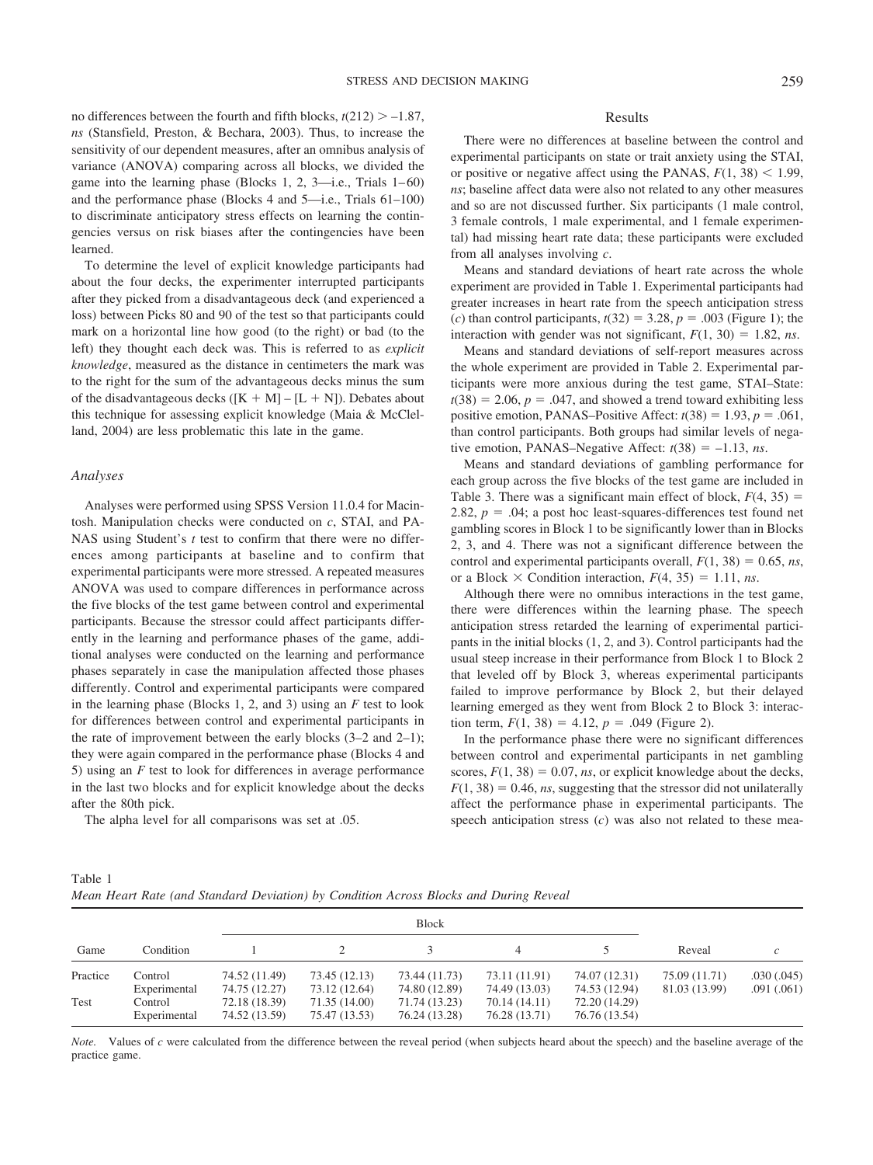no differences between the fourth and fifth blocks,  $t(212) > -1.87$ , *ns* (Stansfield, Preston, & Bechara, 2003). Thus, to increase the sensitivity of our dependent measures, after an omnibus analysis of variance (ANOVA) comparing across all blocks, we divided the game into the learning phase (Blocks 1, 2, 3—i.e., Trials 1–60) and the performance phase (Blocks 4 and 5—i.e., Trials 61–100) to discriminate anticipatory stress effects on learning the contingencies versus on risk biases after the contingencies have been learned.

To determine the level of explicit knowledge participants had about the four decks, the experimenter interrupted participants after they picked from a disadvantageous deck (and experienced a loss) between Picks 80 and 90 of the test so that participants could mark on a horizontal line how good (to the right) or bad (to the left) they thought each deck was. This is referred to as *explicit knowledge*, measured as the distance in centimeters the mark was to the right for the sum of the advantageous decks minus the sum of the disadvantageous decks  $([K + M] - [L + N])$ . Debates about this technique for assessing explicit knowledge (Maia & McClelland, 2004) are less problematic this late in the game.

### *Analyses*

Analyses were performed using SPSS Version 11.0.4 for Macintosh. Manipulation checks were conducted on *c*, STAI, and PA-NAS using Student's *t* test to confirm that there were no differences among participants at baseline and to confirm that experimental participants were more stressed. A repeated measures ANOVA was used to compare differences in performance across the five blocks of the test game between control and experimental participants. Because the stressor could affect participants differently in the learning and performance phases of the game, additional analyses were conducted on the learning and performance phases separately in case the manipulation affected those phases differently. Control and experimental participants were compared in the learning phase (Blocks 1, 2, and 3) using an *F* test to look for differences between control and experimental participants in the rate of improvement between the early blocks (3–2 and 2–1); they were again compared in the performance phase (Blocks 4 and 5) using an *F* test to look for differences in average performance in the last two blocks and for explicit knowledge about the decks after the 80th pick.

The alpha level for all comparisons was set at .05.

# Results

There were no differences at baseline between the control and experimental participants on state or trait anxiety using the STAI, or positive or negative affect using the PANAS,  $F(1, 38) < 1.99$ , *ns*; baseline affect data were also not related to any other measures and so are not discussed further. Six participants (1 male control, 3 female controls, 1 male experimental, and 1 female experimental) had missing heart rate data; these participants were excluded from all analyses involving *c*.

Means and standard deviations of heart rate across the whole experiment are provided in Table 1. Experimental participants had greater increases in heart rate from the speech anticipation stress (*c*) than control participants,  $t(32) = 3.28$ ,  $p = .003$  (Figure 1); the interaction with gender was not significant,  $F(1, 30) = 1.82$ , *ns*.

Means and standard deviations of self-report measures across the whole experiment are provided in Table 2. Experimental participants were more anxious during the test game, STAI–State:  $t(38) = 2.06$ ,  $p = .047$ , and showed a trend toward exhibiting less positive emotion, PANAS–Positive Affect:  $t(38) = 1.93$ ,  $p = .061$ , than control participants. Both groups had similar levels of negative emotion, PANAS–Negative Affect:  $t(38) = -1.13$ , *ns*.

Means and standard deviations of gambling performance for each group across the five blocks of the test game are included in Table 3. There was a significant main effect of block,  $F(4, 35) =$ 2.82,  $p = .04$ ; a post hoc least-squares-differences test found net gambling scores in Block 1 to be significantly lower than in Blocks 2, 3, and 4. There was not a significant difference between the control and experimental participants overall,  $F(1, 38) = 0.65$ , *ns*, or a Block  $\times$  Condition interaction,  $F(4, 35) = 1.11$ , *ns*.

Although there were no omnibus interactions in the test game, there were differences within the learning phase. The speech anticipation stress retarded the learning of experimental participants in the initial blocks (1, 2, and 3). Control participants had the usual steep increase in their performance from Block 1 to Block 2 that leveled off by Block 3, whereas experimental participants failed to improve performance by Block 2, but their delayed learning emerged as they went from Block 2 to Block 3: interaction term,  $F(1, 38) = 4.12$ ,  $p = .049$  (Figure 2).

In the performance phase there were no significant differences between control and experimental participants in net gambling scores,  $F(1, 38) = 0.07$ , *ns*, or explicit knowledge about the decks,  $F(1, 38) = 0.46$ , *ns*, suggesting that the stressor did not unilaterally affect the performance phase in experimental participants. The speech anticipation stress (*c*) was also not related to these mea-

| Table 1 |  |  |                                                                                       |  |  |  |  |
|---------|--|--|---------------------------------------------------------------------------------------|--|--|--|--|
|         |  |  | Mean Heart Rate (and Standard Deviation) by Condition Across Blocks and During Reveal |  |  |  |  |

|          |                         |                                | <b>Block</b>                   |                                |                                |                                |                                |                          |
|----------|-------------------------|--------------------------------|--------------------------------|--------------------------------|--------------------------------|--------------------------------|--------------------------------|--------------------------|
| Game     | Condition               |                                |                                |                                |                                |                                | Reveal                         |                          |
| Practice | Control<br>Experimental | 74.52 (11.49)<br>74.75 (12.27) | 73.45 (12.13)<br>73.12 (12.64) | 73.44 (11.73)<br>74.80 (12.89) | 73.11 (11.91)<br>74.49 (13.03) | 74.07 (12.31)<br>74.53 (12.94) | 75.09 (11.71)<br>81.03 (13.99) | .030(.045)<br>.091(.061) |
| Test     | Control<br>Experimental | 72.18 (18.39)<br>74.52 (13.59) | 71.35 (14.00)<br>75.47 (13.53) | 71.74 (13.23)<br>76.24 (13.28) | 70.14 (14.11)<br>76.28 (13.71) | 72.20 (14.29)<br>76.76 (13.54) |                                |                          |

*Note.* Values of *c* were calculated from the difference between the reveal period (when subjects heard about the speech) and the baseline average of the practice game.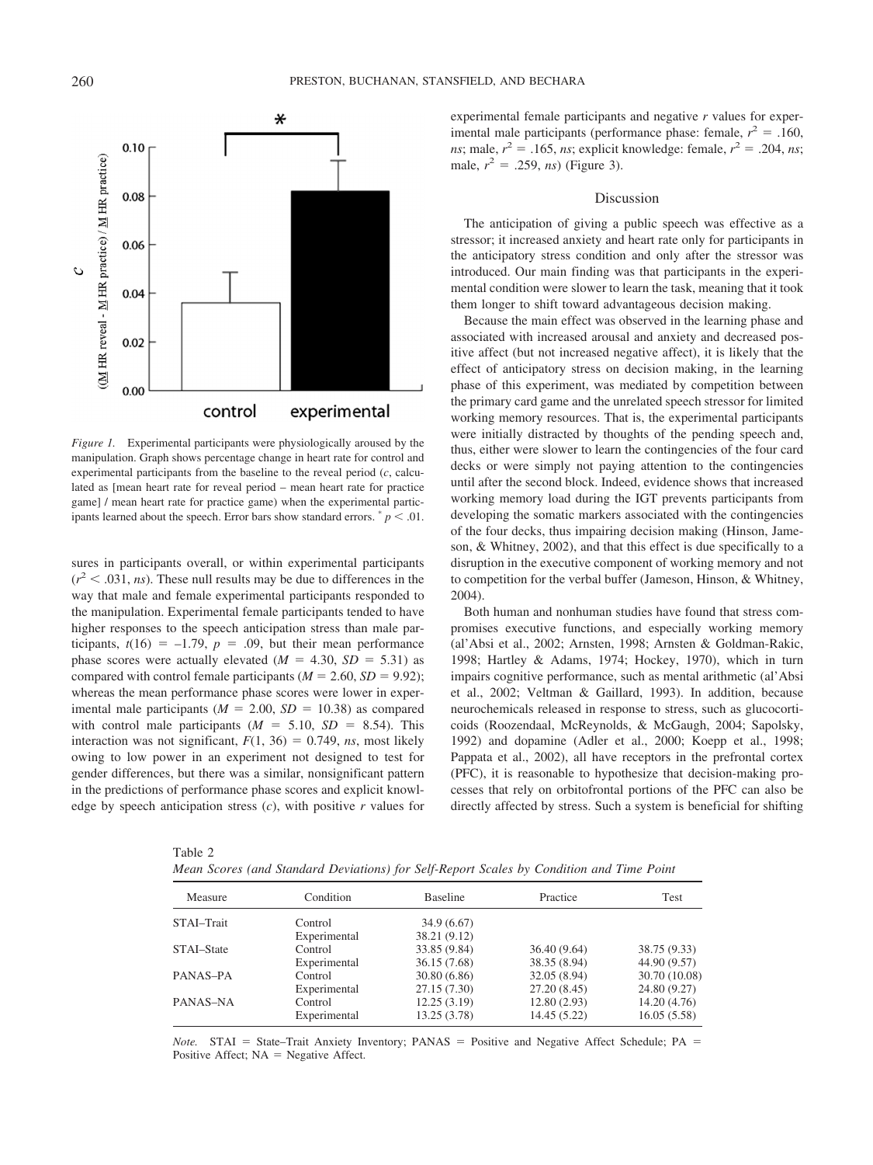

*Figure 1.* Experimental participants were physiologically aroused by the manipulation. Graph shows percentage change in heart rate for control and experimental participants from the baseline to the reveal period (*c*, calculated as [mean heart rate for reveal period – mean heart rate for practice game] / mean heart rate for practice game) when the experimental participants learned about the speech. Error bars show standard errors.  $p < .01$ .

sures in participants overall, or within experimental participants  $(r^2 < .031, ns)$ . These null results may be due to differences in the way that male and female experimental participants responded to the manipulation. Experimental female participants tended to have higher responses to the speech anticipation stress than male participants,  $t(16) = -1.79$ ,  $p = .09$ , but their mean performance phase scores were actually elevated  $(M = 4.30, SD = 5.31)$  as compared with control female participants ( $M = 2.60$ ,  $SD = 9.92$ ); whereas the mean performance phase scores were lower in experimental male participants ( $M = 2.00$ ,  $SD = 10.38$ ) as compared with control male participants  $(M = 5.10, SD = 8.54)$ . This interaction was not significant,  $F(1, 36) = 0.749$ , *ns*, most likely owing to low power in an experiment not designed to test for gender differences, but there was a similar, nonsignificant pattern in the predictions of performance phase scores and explicit knowledge by speech anticipation stress (*c*), with positive *r* values for

Table 2

*Mean Scores (and Standard Deviations) for Self-Report Scales by Condition and Time Point*

|  | The anticipation of giving a public speech was effective as a          |
|--|------------------------------------------------------------------------|
|  | stressor; it increased anxiety and heart rate only for participants in |
|  | the anticipatory stress condition and only after the stressor was      |
|  | introduced. Our main finding was that participants in the experi-      |
|  | mental condition were slower to learn the task, meaning that it took   |
|  | them longer to shift toward advantageous decision making.              |
|  | Because the main effect was observed in the learning phase and         |
|  | associated with increased arousal and anxiety and decreased pos-       |

I the learning phase and iety and decreased positive affect (but not increased negative affect), it is likely that the effect of anticipatory stress on decision making, in the learning phase of this experiment, was mediated by competition between the primary card game and the unrelated speech stressor for limited working memory resources. That is, the experimental participants were initially distracted by thoughts of the pending speech and, thus, either were slower to learn the contingencies of the four card decks or were simply not paying attention to the contingencies until after the second block. Indeed, evidence shows that increased working memory load during the IGT prevents participants from developing the somatic markers associated with the contingencies of the four decks, thus impairing decision making (Hinson, Jameson, & Whitney, 2002), and that this effect is due specifically to a disruption in the executive component of working memory and not to competition for the verbal buffer (Jameson, Hinson, & Whitney, 2004).

experimental female participants and negative *r* values for experimental male participants (performance phase: female,  $r^2 = .160$ , *ns*; male,  $r^2 = .165$ , *ns*; explicit knowledge: female,  $r^2 = .204$ , *ns*;

Discussion

male,  $r^2 = .259$ , *ns*) (Figure 3).

Both human and nonhuman studies have found that stress compromises executive functions, and especially working memory (al'Absi et al., 2002; Arnsten, 1998; Arnsten & Goldman-Rakic, 1998; Hartley & Adams, 1974; Hockey, 1970), which in turn impairs cognitive performance, such as mental arithmetic (al'Absi et al., 2002; Veltman & Gaillard, 1993). In addition, because neurochemicals released in response to stress, such as glucocorticoids (Roozendaal, McReynolds, & McGaugh, 2004; Sapolsky, 1992) and dopamine (Adler et al., 2000; Koepp et al., 1998; Pappata et al., 2002), all have receptors in the prefrontal cortex (PFC), it is reasonable to hypothesize that decision-making processes that rely on orbitofrontal portions of the PFC can also be directly affected by stress. Such a system is beneficial for shifting

| Measure    | Condition    | Baseline     | Practice     | Test          |
|------------|--------------|--------------|--------------|---------------|
| STAI-Trait | Control      | 34.9(6.67)   |              |               |
|            | Experimental | 38.21 (9.12) |              |               |
| STAI-State | Control      | 33.85 (9.84) | 36.40 (9.64) | 38.75 (9.33)  |
|            | Experimental | 36.15 (7.68) | 38.35 (8.94) | 44.90 (9.57)  |
| PANAS-PA   | Control      | 30.80(6.86)  | 32.05 (8.94) | 30.70 (10.08) |
|            | Experimental | 27.15 (7.30) | 27.20(8.45)  | 24.80 (9.27)  |
| PANAS-NA   | Control      | 12.25(3.19)  | 12.80(2.93)  | 14.20 (4.76)  |
|            | Experimental | 13.25 (3.78) | 14.45(5.22)  | 16.05(5.58)   |

*Note.* STAI = State–Trait Anxiety Inventory; PANAS = Positive and Negative Affect Schedule; PA = Positive Affect;  $NA$  = Negative Affect.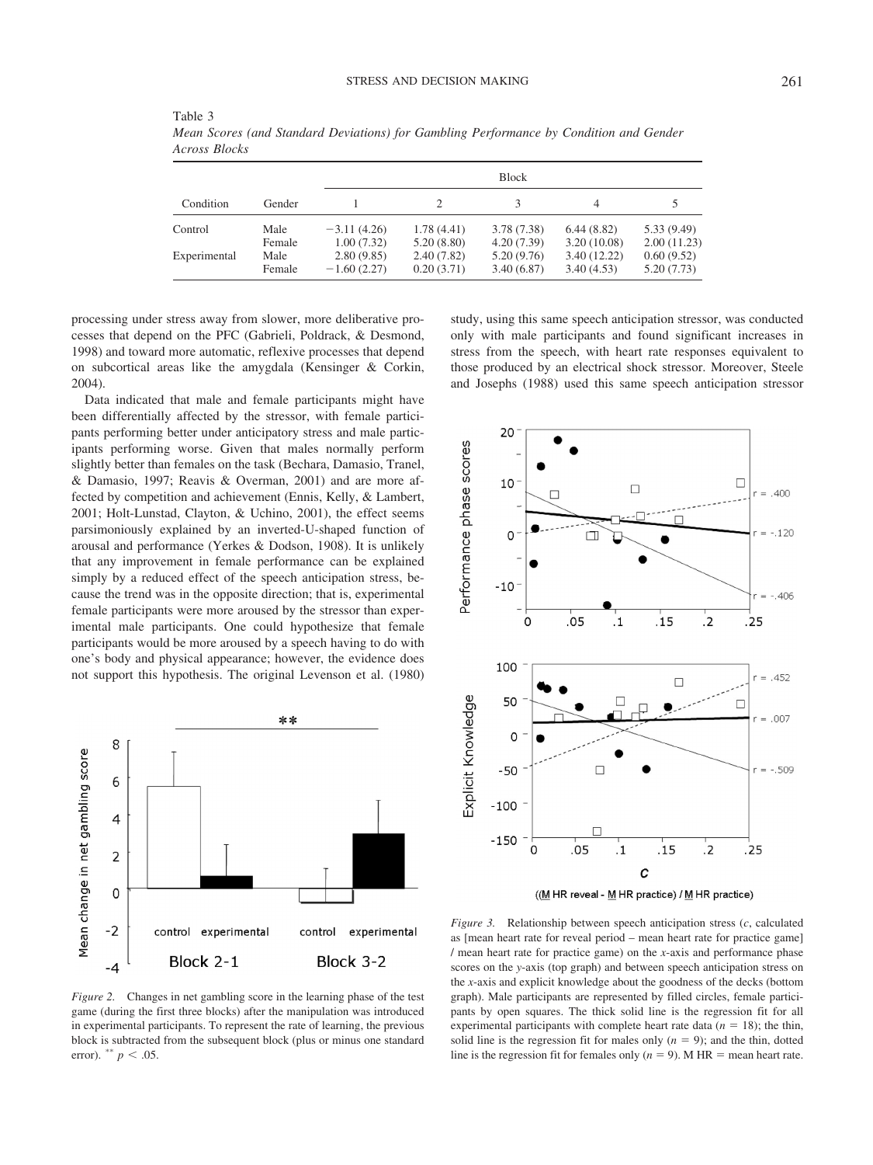|              |        |               | <b>Block</b> |            |             |             |  |  |
|--------------|--------|---------------|--------------|------------|-------------|-------------|--|--|
| Condition    | Gender |               |              |            |             |             |  |  |
| Control      | Male   | $-3.11(4.26)$ | 1.78(4.41)   | 3.78(7.38) | 6.44(8.82)  | 5.33(9.49)  |  |  |
|              | Female | 1.00(7.32)    | 5.20(8.80)   | 4.20(7.39) | 3.20(10.08) | 2.00(11.23) |  |  |
| Experimental | Male   | 2.80(9.85)    | 2.40(7.82)   | 5.20(9.76) | 3.40(12.22) | 0.60(9.52)  |  |  |
|              | Female | $-1.60(2.27)$ | 0.20(3.71)   | 3.40(6.87) | 3.40(4.53)  | 5.20(7.73)  |  |  |

Table 3 *Mean Scores (and Standard Deviations) for Gambling Performance by Condition and Gender Across Blocks*

processing under stress away from slower, more deliberative processes that depend on the PFC (Gabrieli, Poldrack, & Desmond, 1998) and toward more automatic, reflexive processes that depend on subcortical areas like the amygdala (Kensinger & Corkin, 2004).

Data indicated that male and female participants might have been differentially affected by the stressor, with female participants performing better under anticipatory stress and male participants performing worse. Given that males normally perform slightly better than females on the task (Bechara, Damasio, Tranel, & Damasio, 1997; Reavis & Overman, 2001) and are more affected by competition and achievement (Ennis, Kelly, & Lambert, 2001; Holt-Lunstad, Clayton, & Uchino, 2001), the effect seems parsimoniously explained by an inverted-U-shaped function of arousal and performance (Yerkes & Dodson, 1908). It is unlikely that any improvement in female performance can be explained simply by a reduced effect of the speech anticipation stress, because the trend was in the opposite direction; that is, experimental female participants were more aroused by the stressor than experimental male participants. One could hypothesize that female participants would be more aroused by a speech having to do with one's body and physical appearance; however, the evidence does not support this hypothesis. The original Levenson et al. (1980)



*Figure* 2. Changes in net gambling score in the learning phase of the test game (during the first three blocks) after the manipulation was introduced in experimental participants. To represent the rate of learning, the previous block is subtracted from the subsequent block (plus or minus one standard error).  $*$  *p* < .05.

study, using this same speech anticipation stressor, was conducted only with male participants and found significant increases in stress from the speech, with heart rate responses equivalent to those produced by an electrical shock stressor. Moreover, Steele and Josephs (1988) used this same speech anticipation stressor



*Figure 3.* Relationship between speech anticipation stress (*c*, calculated as [mean heart rate for reveal period – mean heart rate for practice game] / mean heart rate for practice game) on the *x*-axis and performance phase scores on the *y*-axis (top graph) and between speech anticipation stress on the *x*-axis and explicit knowledge about the goodness of the decks (bottom graph). Male participants are represented by filled circles, female participants by open squares. The thick solid line is the regression fit for all experimental participants with complete heart rate data  $(n = 18)$ ; the thin, solid line is the regression fit for males only  $(n = 9)$ ; and the thin, dotted line is the regression fit for females only  $(n = 9)$ . M HR = mean heart rate.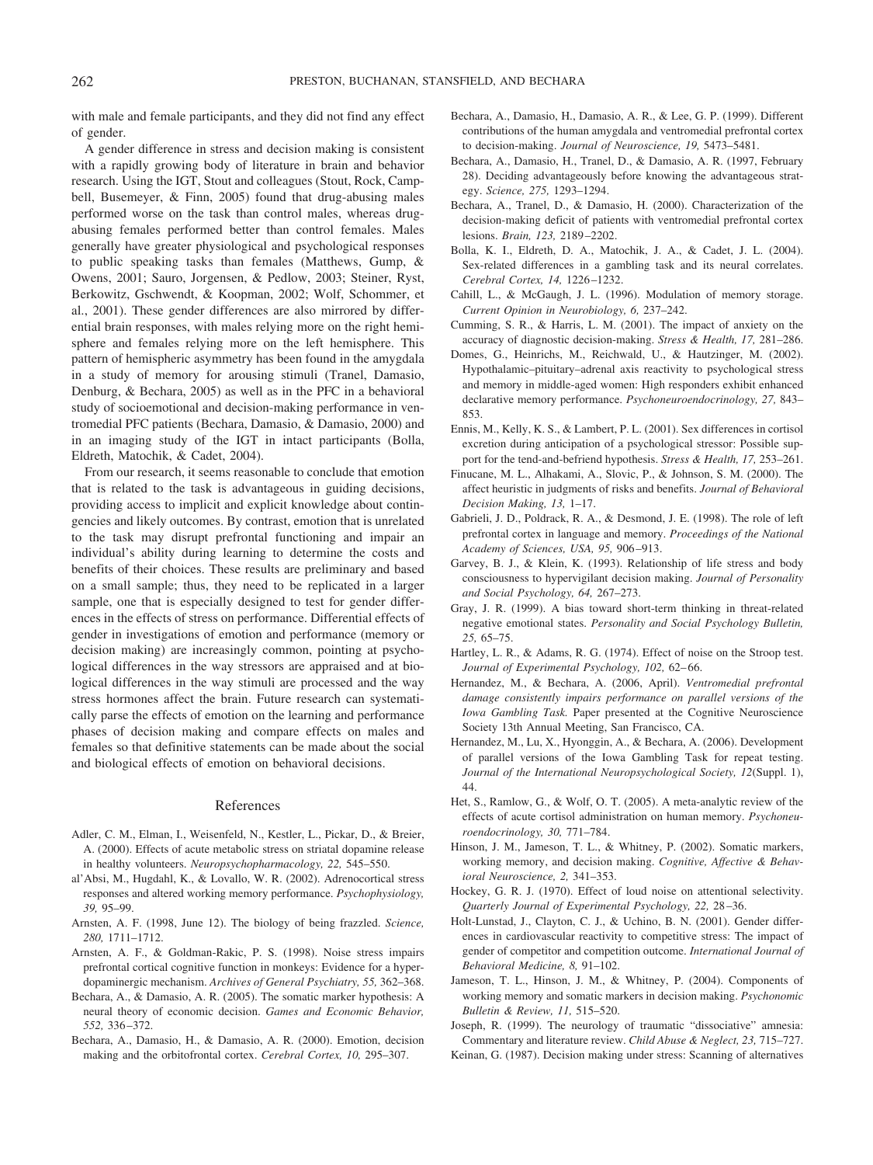with male and female participants, and they did not find any effect of gender.

A gender difference in stress and decision making is consistent with a rapidly growing body of literature in brain and behavior research. Using the IGT, Stout and colleagues (Stout, Rock, Campbell, Busemeyer, & Finn, 2005) found that drug-abusing males performed worse on the task than control males, whereas drugabusing females performed better than control females. Males generally have greater physiological and psychological responses to public speaking tasks than females (Matthews, Gump, & Owens, 2001; Sauro, Jorgensen, & Pedlow, 2003; Steiner, Ryst, Berkowitz, Gschwendt, & Koopman, 2002; Wolf, Schommer, et al., 2001). These gender differences are also mirrored by differential brain responses, with males relying more on the right hemisphere and females relying more on the left hemisphere. This pattern of hemispheric asymmetry has been found in the amygdala in a study of memory for arousing stimuli (Tranel, Damasio, Denburg, & Bechara, 2005) as well as in the PFC in a behavioral study of socioemotional and decision-making performance in ventromedial PFC patients (Bechara, Damasio, & Damasio, 2000) and in an imaging study of the IGT in intact participants (Bolla, Eldreth, Matochik, & Cadet, 2004).

From our research, it seems reasonable to conclude that emotion that is related to the task is advantageous in guiding decisions, providing access to implicit and explicit knowledge about contingencies and likely outcomes. By contrast, emotion that is unrelated to the task may disrupt prefrontal functioning and impair an individual's ability during learning to determine the costs and benefits of their choices. These results are preliminary and based on a small sample; thus, they need to be replicated in a larger sample, one that is especially designed to test for gender differences in the effects of stress on performance. Differential effects of gender in investigations of emotion and performance (memory or decision making) are increasingly common, pointing at psychological differences in the way stressors are appraised and at biological differences in the way stimuli are processed and the way stress hormones affect the brain. Future research can systematically parse the effects of emotion on the learning and performance phases of decision making and compare effects on males and females so that definitive statements can be made about the social and biological effects of emotion on behavioral decisions.

#### References

- Adler, C. M., Elman, I., Weisenfeld, N., Kestler, L., Pickar, D., & Breier, A. (2000). Effects of acute metabolic stress on striatal dopamine release in healthy volunteers. *Neuropsychopharmacology, 22,* 545–550.
- al'Absi, M., Hugdahl, K., & Lovallo, W. R. (2002). Adrenocortical stress responses and altered working memory performance. *Psychophysiology, 39,* 95–99.
- Arnsten, A. F. (1998, June 12). The biology of being frazzled. *Science, 280,* 1711–1712.
- Arnsten, A. F., & Goldman-Rakic, P. S. (1998). Noise stress impairs prefrontal cortical cognitive function in monkeys: Evidence for a hyperdopaminergic mechanism. *Archives of General Psychiatry, 55,* 362–368.
- Bechara, A., & Damasio, A. R. (2005). The somatic marker hypothesis: A neural theory of economic decision. *Games and Economic Behavior, 552,* 336–372.
- Bechara, A., Damasio, H., & Damasio, A. R. (2000). Emotion, decision making and the orbitofrontal cortex. *Cerebral Cortex, 10,* 295–307.
- Bechara, A., Damasio, H., Damasio, A. R., & Lee, G. P. (1999). Different contributions of the human amygdala and ventromedial prefrontal cortex to decision-making. *Journal of Neuroscience, 19,* 5473–5481.
- Bechara, A., Damasio, H., Tranel, D., & Damasio, A. R. (1997, February 28). Deciding advantageously before knowing the advantageous strategy. *Science, 275,* 1293–1294.
- Bechara, A., Tranel, D., & Damasio, H. (2000). Characterization of the decision-making deficit of patients with ventromedial prefrontal cortex lesions. *Brain, 123,* 2189–2202.
- Bolla, K. I., Eldreth, D. A., Matochik, J. A., & Cadet, J. L. (2004). Sex-related differences in a gambling task and its neural correlates. *Cerebral Cortex, 14,* 1226–1232.
- Cahill, L., & McGaugh, J. L. (1996). Modulation of memory storage. *Current Opinion in Neurobiology, 6,* 237–242.
- Cumming, S. R., & Harris, L. M. (2001). The impact of anxiety on the accuracy of diagnostic decision-making. *Stress & Health, 17,* 281–286.
- Domes, G., Heinrichs, M., Reichwald, U., & Hautzinger, M. (2002). Hypothalamic–pituitary–adrenal axis reactivity to psychological stress and memory in middle-aged women: High responders exhibit enhanced declarative memory performance. *Psychoneuroendocrinology, 27,* 843– 853.
- Ennis, M., Kelly, K. S., & Lambert, P. L. (2001). Sex differences in cortisol excretion during anticipation of a psychological stressor: Possible support for the tend-and-befriend hypothesis. *Stress & Health, 17,* 253–261.
- Finucane, M. L., Alhakami, A., Slovic, P., & Johnson, S. M. (2000). The affect heuristic in judgments of risks and benefits. *Journal of Behavioral Decision Making, 13,* 1–17.
- Gabrieli, J. D., Poldrack, R. A., & Desmond, J. E. (1998). The role of left prefrontal cortex in language and memory. *Proceedings of the National Academy of Sciences, USA, 95,* 906–913.
- Garvey, B. J., & Klein, K. (1993). Relationship of life stress and body consciousness to hypervigilant decision making. *Journal of Personality and Social Psychology, 64,* 267–273.
- Gray, J. R. (1999). A bias toward short-term thinking in threat-related negative emotional states. *Personality and Social Psychology Bulletin, 25,* 65–75.
- Hartley, L. R., & Adams, R. G. (1974). Effect of noise on the Stroop test. *Journal of Experimental Psychology, 102,* 62–66.
- Hernandez, M., & Bechara, A. (2006, April). *Ventromedial prefrontal damage consistently impairs performance on parallel versions of the Iowa Gambling Task.* Paper presented at the Cognitive Neuroscience Society 13th Annual Meeting, San Francisco, CA.
- Hernandez, M., Lu, X., Hyonggin, A., & Bechara, A. (2006). Development of parallel versions of the Iowa Gambling Task for repeat testing. *Journal of the International Neuropsychological Society, 12*(Suppl. 1), 44.
- Het, S., Ramlow, G., & Wolf, O. T. (2005). A meta-analytic review of the effects of acute cortisol administration on human memory. *Psychoneuroendocrinology, 30,* 771–784.
- Hinson, J. M., Jameson, T. L., & Whitney, P. (2002). Somatic markers, working memory, and decision making. *Cognitive, Affective & Behavioral Neuroscience, 2,* 341–353.
- Hockey, G. R. J. (1970). Effect of loud noise on attentional selectivity. *Quarterly Journal of Experimental Psychology, 22,* 28–36.
- Holt-Lunstad, J., Clayton, C. J., & Uchino, B. N. (2001). Gender differences in cardiovascular reactivity to competitive stress: The impact of gender of competitor and competition outcome. *International Journal of Behavioral Medicine, 8,* 91–102.
- Jameson, T. L., Hinson, J. M., & Whitney, P. (2004). Components of working memory and somatic markers in decision making. *Psychonomic Bulletin & Review, 11,* 515–520.
- Joseph, R. (1999). The neurology of traumatic "dissociative" amnesia: Commentary and literature review. *Child Abuse & Neglect, 23,* 715–727.
- Keinan, G. (1987). Decision making under stress: Scanning of alternatives